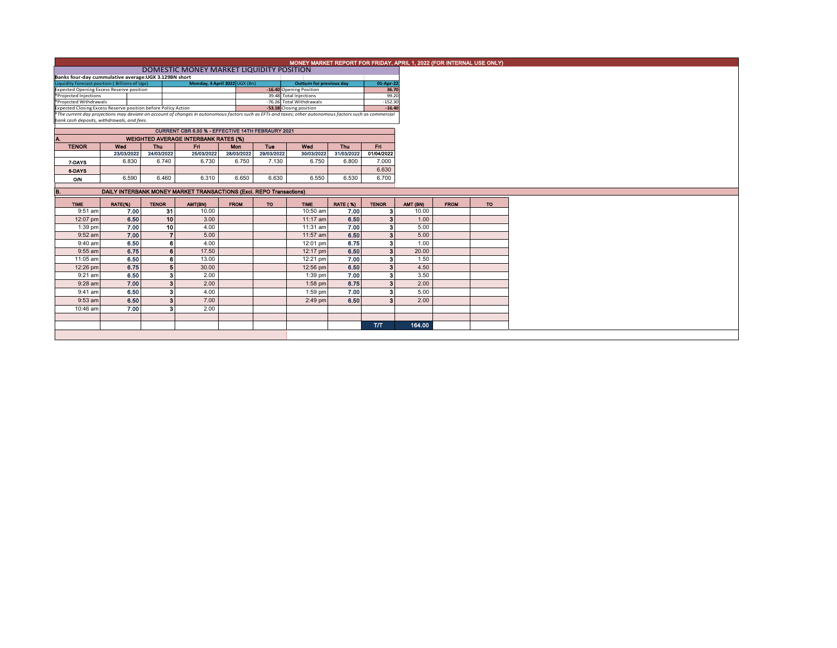|                                                                                                                                                                                                        |            |                 |                                                                     |             | MONEY MARKET REPORT FOR FRIDAY, APRIL 1, 2022 (FOR INTERNAL USE ONLY) |                                 |                 |                    |                                                                                                        |                |        |             |
|--------------------------------------------------------------------------------------------------------------------------------------------------------------------------------------------------------|------------|-----------------|---------------------------------------------------------------------|-------------|-----------------------------------------------------------------------|---------------------------------|-----------------|--------------------|--------------------------------------------------------------------------------------------------------|----------------|--------|-------------|
|                                                                                                                                                                                                        |            |                 |                                                                     |             |                                                                       |                                 |                 |                    |                                                                                                        |                |        |             |
| Banks four-day cummulative average: UGX 3.129BN short                                                                                                                                                  |            |                 |                                                                     |             |                                                                       |                                 |                 |                    |                                                                                                        |                |        |             |
| Liquidity forecast position (Billions of Ugx)                                                                                                                                                          |            |                 | Monday, 4 April 2022 UGX (Bn)                                       |             |                                                                       | <b>Outturn for previous day</b> |                 | 01-Apr-22          |                                                                                                        |                |        |             |
| <b>Expected Opening Excess Reserve position</b><br>*Projected Injections                                                                                                                               |            |                 |                                                                     |             | -16.40 Opening Position<br>39.48 Total Injections                     |                                 |                 |                    | 36.70                                                                                                  |                |        |             |
| *Projected Withdrawals                                                                                                                                                                                 |            |                 |                                                                     |             |                                                                       | -76.26 Total Withdrawals        |                 | 99.20<br>$-152.30$ |                                                                                                        |                |        |             |
| Expected Closing Excess Reserve position before Policy Action                                                                                                                                          |            |                 |                                                                     |             |                                                                       | -53.18 Closing position         |                 | $-16.40$           |                                                                                                        |                |        |             |
| *The current day projections may deviate on account of changes in autonomous factors such as EFTs and taxes; other autonomous factors such as commercial<br>bank cash deposits, withdrawals, and fees. |            |                 |                                                                     |             |                                                                       |                                 |                 |                    |                                                                                                        |                |        |             |
|                                                                                                                                                                                                        |            |                 |                                                                     |             |                                                                       |                                 |                 |                    |                                                                                                        |                |        |             |
|                                                                                                                                                                                                        |            |                 | <b>CURRENT CBR 6.50 % - EFFECTIVE 14TH FEBRAURY 2021</b>            |             |                                                                       |                                 |                 |                    |                                                                                                        |                |        |             |
| A.                                                                                                                                                                                                     |            |                 | <b>WEIGHTED AVERAGE INTERBANK RATES (%)</b>                         |             |                                                                       |                                 |                 |                    |                                                                                                        |                |        |             |
| <b>TENOR</b>                                                                                                                                                                                           | Wed        | <b>Thu</b>      | Fri                                                                 | Mon         | Tue                                                                   | Wed                             | Thu             | Fri.               |                                                                                                        |                |        |             |
|                                                                                                                                                                                                        | 23/03/2022 | 24/03/2022      | 25/03/2022                                                          | 28/03/2022  | 29/03/2022                                                            | 30/03/2022                      | 31/03/2022      | 01/04/2022         |                                                                                                        |                |        |             |
| 7-DAYS                                                                                                                                                                                                 | 6.830      | 6.740           | 6.730                                                               | 6.750       | 7.130                                                                 | 6.750                           | 6.800           | 7.000              |                                                                                                        |                |        |             |
| 6-DAYS                                                                                                                                                                                                 |            |                 |                                                                     |             |                                                                       |                                 |                 | 6.630              |                                                                                                        |                |        |             |
| <b>O/N</b>                                                                                                                                                                                             | 6.590      | 6.460           | 6.310                                                               | 6.650       | 6.630                                                                 | 6.550                           | 6.530           | 6.700              |                                                                                                        |                |        |             |
|                                                                                                                                                                                                        |            |                 | DAILY INTERBANK MONEY MARKET TRANSACTIONS (Excl. REPO Transactions) |             |                                                                       |                                 |                 |                    |                                                                                                        |                |        |             |
|                                                                                                                                                                                                        |            |                 |                                                                     |             |                                                                       |                                 |                 |                    |                                                                                                        |                |        |             |
| <b>TIME</b>                                                                                                                                                                                            | RATE(%)    | <b>TENOR</b>    | AMT(BN)                                                             | <b>FROM</b> | <b>TO</b>                                                             | <b>TIME</b>                     | <b>RATE (%)</b> | <b>TENOR</b>       |                                                                                                        | AMT (BN)       |        | <b>FROM</b> |
| 9:51 am                                                                                                                                                                                                | 7.00       | 31              |                                                                     |             |                                                                       |                                 |                 |                    |                                                                                                        |                |        |             |
|                                                                                                                                                                                                        |            |                 | 10.00                                                               |             |                                                                       | 10:50 am                        | 7.00            |                    |                                                                                                        |                | 10.00  |             |
| 12:07 pm                                                                                                                                                                                               | 6.50       | 10 <sup>1</sup> | 3.00                                                                |             |                                                                       | 11:17 am                        | 6.50            |                    |                                                                                                        |                | 1.00   |             |
| 1:39 pm                                                                                                                                                                                                | 7.00       | 10 <sup>1</sup> | 4.00                                                                |             |                                                                       | 11:31 am                        | 7.00            | я                  |                                                                                                        |                | 5.00   |             |
| 9:52 am                                                                                                                                                                                                | 7.00       | $\overline{ }$  | 5.00                                                                |             |                                                                       | 11:57 am                        | 6.50            |                    |                                                                                                        |                | 5.00   |             |
| 9:40 am                                                                                                                                                                                                | 6.50       | ß.              | 4.00                                                                |             |                                                                       | 12:01 pm                        | 6.75            |                    |                                                                                                        |                | 1.00   |             |
| 9:55 am                                                                                                                                                                                                | 6.75       | 6               | 17.50                                                               |             |                                                                       | 12:17 pm                        | 6.50            |                    |                                                                                                        |                | 20.00  |             |
| 11:05 am                                                                                                                                                                                               | 6.50       | 6               | 13.00                                                               |             |                                                                       | 12:21 pm                        | 7.00            |                    |                                                                                                        |                | 1.50   |             |
| 12:26 pm                                                                                                                                                                                               | 6.75       |                 | 30.00                                                               |             |                                                                       | 12:56 pm                        | 6.50            | $\mathbf{a}$       |                                                                                                        |                | 4.50   |             |
| $9:21$ am                                                                                                                                                                                              | 6.50       |                 | 2.00                                                                |             |                                                                       | $1:39$ pm                       | 7.00            | з                  |                                                                                                        |                | 3.50   |             |
| $9:28$ am                                                                                                                                                                                              | 7.00       | 3 <sup>1</sup>  | 2.00                                                                |             |                                                                       | 1:58 pm                         | 6.75            |                    |                                                                                                        |                | 2.00   |             |
| 9:41 am                                                                                                                                                                                                | 6.50       |                 | 4.00                                                                |             |                                                                       | $1:59$ pm                       | 7.00            | 3                  |                                                                                                        |                | 5.00   |             |
| $9:53$ am                                                                                                                                                                                              | 6.50       | 3 <sup>1</sup>  | 7.00                                                                |             |                                                                       | $2:49$ pm                       | 6.50            | я                  |                                                                                                        |                | 2.00   |             |
| 10:46 am                                                                                                                                                                                               | 7.00       | я               | 2.00                                                                |             |                                                                       |                                 |                 |                    |                                                                                                        |                |        |             |
|                                                                                                                                                                                                        |            |                 |                                                                     |             |                                                                       |                                 |                 |                    |                                                                                                        |                |        |             |
|                                                                                                                                                                                                        |            |                 |                                                                     |             |                                                                       |                                 |                 | <b>T/T</b>         | 3 <sup>1</sup><br>$\mathbf{3}$<br>3 <sup>1</sup><br>3 <sup>1</sup><br>3 <sup>1</sup><br>3 <sup>1</sup> | 3 <sup>1</sup> | 164.00 |             |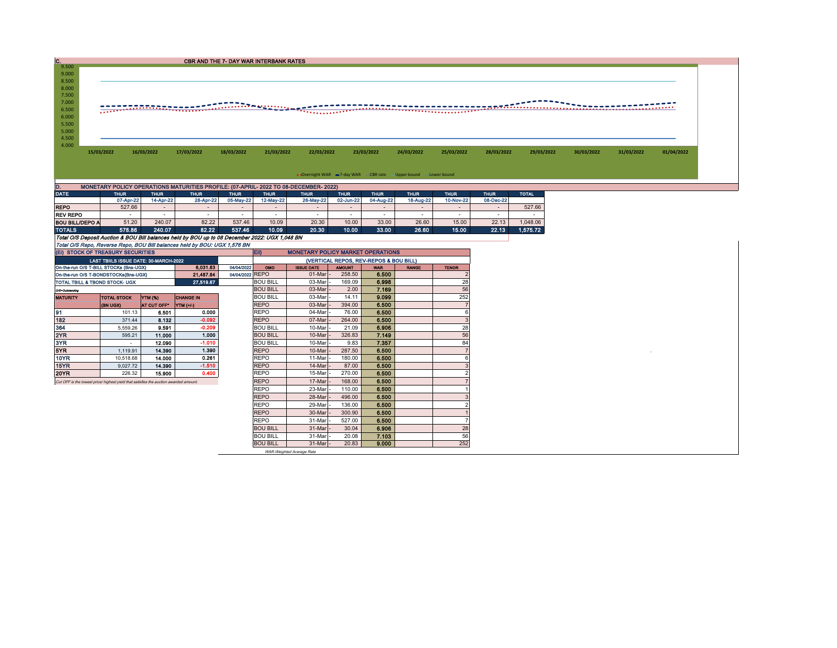| IC.                    |                                                                                      |                |                          |             | CBR AND THE 7- DAY WAR INTERBANK RATES |                          |                      |             |                                                               |                          |              |              |            |            |            |
|------------------------|--------------------------------------------------------------------------------------|----------------|--------------------------|-------------|----------------------------------------|--------------------------|----------------------|-------------|---------------------------------------------------------------|--------------------------|--------------|--------------|------------|------------|------------|
| 9.500                  |                                                                                      |                |                          |             |                                        |                          |                      |             |                                                               |                          |              |              |            |            |            |
| 9.000                  |                                                                                      |                |                          |             |                                        |                          |                      |             |                                                               |                          |              |              |            |            |            |
| 8.500                  |                                                                                      |                |                          |             |                                        |                          |                      |             |                                                               |                          |              |              |            |            |            |
| 8.000                  |                                                                                      |                |                          |             |                                        |                          |                      |             |                                                               |                          |              |              |            |            |            |
| 7.500                  |                                                                                      |                |                          |             |                                        |                          |                      |             |                                                               |                          |              |              |            |            |            |
| 7.000                  |                                                                                      |                |                          |             |                                        |                          |                      |             |                                                               |                          |              |              |            |            |            |
| 6.500                  |                                                                                      |                |                          |             |                                        |                          |                      |             |                                                               |                          |              |              |            |            |            |
| 6.000                  |                                                                                      |                |                          |             |                                        |                          |                      |             |                                                               |                          |              |              |            |            |            |
| 5.500                  |                                                                                      |                |                          |             |                                        |                          |                      |             |                                                               |                          |              |              |            |            |            |
| 5.000                  |                                                                                      |                |                          |             |                                        |                          |                      |             |                                                               |                          |              |              |            |            |            |
| 4.500                  |                                                                                      |                |                          |             |                                        |                          |                      |             |                                                               |                          |              |              |            |            |            |
| 4.000                  |                                                                                      |                |                          |             |                                        |                          |                      |             |                                                               |                          |              |              |            |            |            |
|                        | 15/03/2022                                                                           | 16/03/2022     | 17/03/2022               | 18/03/2022  | 21/03/2022                             | 22/03/2022               |                      | 23/03/2022  | 24/03/2022                                                    | 25/03/2022               | 28/03/2022   | 29/03/2022   | 30/03/2022 | 31/03/2022 | 01/04/2022 |
|                        |                                                                                      |                |                          |             |                                        |                          |                      |             |                                                               |                          |              |              |            |            |            |
|                        |                                                                                      |                |                          |             |                                        |                          |                      |             |                                                               |                          |              |              |            |            |            |
|                        |                                                                                      |                |                          |             |                                        |                          |                      |             | • Overnight WAR =7-day WAR CBR rate -Upper bound -Lower bound |                          |              |              |            |            |            |
|                        |                                                                                      |                |                          |             |                                        |                          |                      |             |                                                               |                          |              |              |            |            |            |
| D.                     | MONETARY POLICY OPERATIONS MATURITIES PROFILE: (07-APRIL- 2022 TO 08-DECEMBER- 2022) |                |                          |             |                                        |                          |                      |             |                                                               |                          |              |              |            |            |            |
| <b>DATE</b>            | <b>THUR</b>                                                                          | <b>THUR</b>    | <b>THUR</b>              | <b>THUR</b> | <b>THUR</b>                            | <b>THUR</b>              | <b>THUR</b>          | <b>THUR</b> | <b>THUR</b>                                                   | <b>THUR</b>              | <b>THUR</b>  | <b>TOTAL</b> |            |            |            |
|                        | 07-Apr-22                                                                            | 14-Apr-22      | 28-Apr-22                | 05-May-22   | 12-May-22                              | 26-May-22                | 02-Jun-22            | 04-Aug-22   | 18-Aug-22                                                     | 10-Nov-22                | 08-Dec-22    |              |            |            |            |
| <b>REPO</b>            | 527.66                                                                               | <b>Section</b> | $\sim$                   | $\sim$      | $\sim$                                 | $\overline{\phantom{a}}$ | $\sim$               | $\sim$      | $\sim$                                                        | $\sim$                   | $\sim$       | 527.66       |            |            |            |
| <b>REV REPO</b>        | $\sim$                                                                               | $\sim$         | $\overline{\phantom{a}}$ | $\sim$      | $\sim$                                 | $\overline{\phantom{a}}$ | $\sim$               | $\sim$      | $\sim$                                                        | $\overline{\phantom{a}}$ | $\sim$       | $\sim$       |            |            |            |
| <b>BOU BILL/DEPO A</b> | 51.20                                                                                | 240.07         | 82.22                    | 537.46      | 10.09                                  | 20.30                    | 10.00                | 33.00       | 26.60                                                         | 15.00                    | 22.13        | 1,048.06     |            |            |            |
| $- - - - - -$          | ----                                                                                 | ----           | $- - - -$                | --- --      | .                                      | $- - - -$                | $\sim$ $\sim$ $\sim$ | $- - - -$   | $- - - -$                                                     | $-$                      | <b>SALES</b> | --------     |            |            |            |

TOTALS 578.86 240.07 82.22 537.46 10.09 20.30 10.00 33.00 26.60 15.00 22.13 1,575.72<br>Total O/S Deposit Auction & BOU Bill balances held by BOU up to 08 December 2022: UGX 1,048 BN<br>Total O/S

| (EI) STOCK OF TREASURY SECURITIES                                                     |                          |                    |                  |                 |                 | <b>EID</b><br><b>MONETARY POLICY MARKET OPERATIONS</b> |               |            |              |              |  |  |  |  |
|---------------------------------------------------------------------------------------|--------------------------|--------------------|------------------|-----------------|-----------------|--------------------------------------------------------|---------------|------------|--------------|--------------|--|--|--|--|
| LAST TBIILS ISSUE DATE: 30-MARCH-2022                                                 |                          |                    |                  |                 |                 | (VERTICAL REPOS, REV-REPOS & BOU BILL)                 |               |            |              |              |  |  |  |  |
| On-the-run O/S T-BILL STOCKs (Bns-UGX)                                                |                          |                    | 6.031.83         | 04/04/2022      | OMO             | <b>ISSUE DATE</b>                                      | <b>AMOUNT</b> | <b>WAR</b> | <b>RANGE</b> | <b>TENOR</b> |  |  |  |  |
| On-the-run O/S T-BONDSTOCKs(Bns-UGX)                                                  |                          |                    | 21.487.84        | 04/04/2022 REPO |                 | 01-Mar                                                 | 258.50        | 6.500      |              |              |  |  |  |  |
| TOTAL TBILL & TBOND STOCK- UGX                                                        |                          |                    | 27.519.67        |                 | <b>BOU BILL</b> | 03-Mar                                                 | 169.09        | 6.998      |              | 28           |  |  |  |  |
| O/S=Outstanding                                                                       |                          |                    |                  |                 | <b>BOU BILL</b> | 03-Mar                                                 | 2.00          | 7.169      |              | 56           |  |  |  |  |
| <b>MATURITY</b>                                                                       | <b>TOTAL STOCK</b>       | <b>YTM (%)</b>     | <b>CHANGE IN</b> |                 | <b>BOU BILL</b> | 03-Mar                                                 | 14.11         | 9.099      |              | 252          |  |  |  |  |
|                                                                                       | (BN UGX)                 | <b>AT CUT OFF*</b> | <b>YTM</b> (+/-) |                 | <b>REPO</b>     | 03-Mar                                                 | 394.00        | 6.500      |              |              |  |  |  |  |
| 91                                                                                    | 101.13                   | 6.501              | 0.000            |                 | <b>REPO</b>     | 04-Mar                                                 | 76.00         | 6.500      |              |              |  |  |  |  |
| 182                                                                                   | 371.44                   | 8.132              | $-0.092$         |                 | <b>REPO</b>     | 07-Mar                                                 | 264.00        | 6.500      |              | 3            |  |  |  |  |
| 364                                                                                   | 5.559.26                 | 9.591              | $-0.209$         |                 | <b>BOU BILL</b> | 10-Mar                                                 | 21.09         | 6.906      |              | 28           |  |  |  |  |
| 2YR                                                                                   | 595.21                   | 11.000             | 1.000            |                 | <b>BOU BILL</b> | 10-Mar                                                 | 326.83        | 7.149      |              | 56           |  |  |  |  |
| 3YR                                                                                   | $\overline{\phantom{a}}$ | 12.090             | $-1.010$         |                 | <b>BOU BILL</b> | 10-Mar                                                 | 9.83          | 7.357      |              | 84           |  |  |  |  |
| 5YR                                                                                   | 1.119.91                 | 14,390             | 1.390            |                 | <b>REPO</b>     | 10-Mar                                                 | 287.50        | 6.500      |              |              |  |  |  |  |
| 10YR                                                                                  | 10,518.68                | 14.000             | 0.261            |                 | <b>REPO</b>     | 11-Mar                                                 | 180.00        | 6.500      |              |              |  |  |  |  |
| 15YR                                                                                  | 9.027.72                 | 14.390             | $-1.510$         |                 | <b>REPO</b>     | 14-Mar                                                 | 87.00         | 6.500      |              |              |  |  |  |  |
| <b>20YR</b>                                                                           | 226.32                   | 15,900             | 0.400            |                 | <b>REPO</b>     | 15-Mar                                                 | 270.00        | 6.500      |              |              |  |  |  |  |
| Cut OFF is the lowest price/ highest yield that satisfies the auction awarded amount. |                          |                    |                  |                 | <b>REPO</b>     | 17-Mar                                                 | 168,00        | 6.500      |              |              |  |  |  |  |
|                                                                                       |                          |                    |                  |                 | <b>REPO</b>     | 23-Mar                                                 | 110.00        | 6.500      |              |              |  |  |  |  |
|                                                                                       |                          |                    | <b>REPO</b>      | 28-Mar          | 496.00          | 6.500                                                  |               |            |              |              |  |  |  |  |
|                                                                                       |                          |                    | <b>REPO</b>      | 29-Mar          | 136.00          | 6.500                                                  |               |            |              |              |  |  |  |  |
|                                                                                       |                          |                    |                  |                 | <b>REPO</b>     | 30-Mar                                                 | 300.90        | 6,500      |              |              |  |  |  |  |
|                                                                                       |                          |                    |                  |                 | <b>REPO</b>     | 31-Mar                                                 | 527.00        | 6.500      |              |              |  |  |  |  |
|                                                                                       |                          |                    |                  |                 | <b>BOU BILL</b> | 31-Mar                                                 | 30.04         | 6.906      |              | 28           |  |  |  |  |
|                                                                                       |                          |                    |                  |                 | <b>BOU BILL</b> | 31-Mar                                                 | 20.08         | 7.103      |              | 56           |  |  |  |  |
|                                                                                       |                          |                    |                  |                 | <b>BOU BILL</b> | 31-Mar                                                 | 20.83         | 9.000      |              | 252          |  |  |  |  |

WAR-Weighted Average Rate